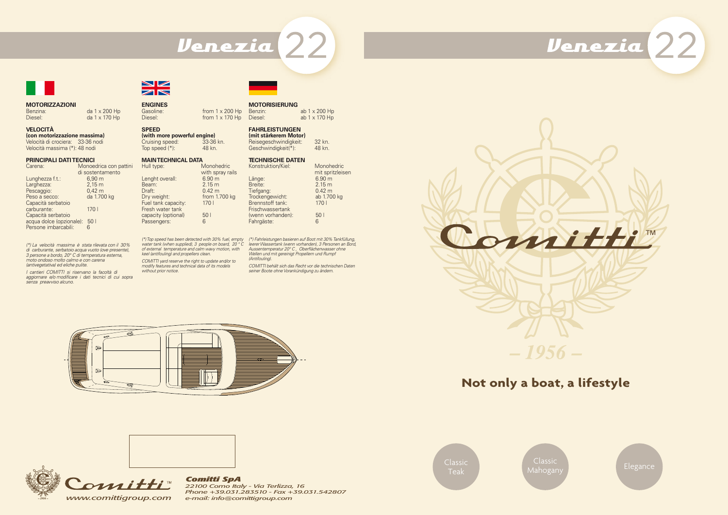**Not only a boat, a lifestyle**





оппі

Classic Teak

Classic



Mahogany **Elegance** 

# Venezia ??



## **MOTORIZZAZIONI**

Benzina: da 1 x 200 Hp<br>Diesel: da 1 x 170 Hp

**VELOCITÀ (con motorizzazione massima)**

Velocità di crociera: 33-36 nodi Velocità massima (\*): 48 nodi

#### **PRINCIPALI DATI TECNICI**

| Carena:                  | Monoedrica con pattini |
|--------------------------|------------------------|
|                          | di sostentamento       |
| Lunghezza f.t.:          | $6,90 \; \mathrm{m}$   |
| Larghezza:               | $2,15 \, \text{m}$     |
| Pescaggio:               | $0,42 \; m$            |
| Peso a secco:            | da 1.700 kg            |
| Capacità serbatoio       |                        |
| carburante:              | 1701                   |
| Capacità serbatoio       |                        |
| acqua dolce (opzionale): | 50 <sub>1</sub>        |
| Persone imbarcabili:     |                        |
|                          |                        |

da 1 x 170 Hp

*(\*) La velocità massima è stata rilevata con il 30% di carburante, serbatoio acqua vuoto (ove presente), 3 persone a bordo, 20° C di temperatura esterna, moto ondoso molto calmo e con carena (antivegetativa) ed eliche pulite.*

*I cantieri COMITTI si riservano la facoltà di aggiornare e/o modificare i dati tecnici di cui sopra senza preavviso alcuno.*



# **MOTORISIERUNG**

Benzin: ab 1 x 200 Hp<br>Diesel: ab 1 x 170 Hp  $ab$  1 x 170 Hp

**FAHRLEISTUNGEN (mit stärkerem Motor)**

Reisegeschwindigkeit: 32 kn.<br>Geschwindigkeit(\*): 48 kn.  $G$ eschwindigkeit $(*):$ 

#### **TECHNISCHE DATEN**

| Konstruktion/Kiel: | Monohedric        |
|--------------------|-------------------|
|                    | mit spritzleisen  |
| Länge:             | 6.90 <sub>m</sub> |
| Breite:            | 2.15 <sub>m</sub> |
| Tiefgang:          | $0.42 \text{ m}$  |
| Trockengewicht:    | ab 1.700 kg       |
| Brennstoff tank:   | 170l              |
| Frischwassertank   |                   |
| (wenn vorhanden):  | 50 <sub>1</sub>   |
| Fahrgäste:         | հ                 |
|                    |                   |

*(\*) Fahrleistungen basieren auf Boot mit 30% Tankfüllung, leerer Wassertank (wenn vorhanden), 3 Personen an Bord, Aussentemperatur 20° C , Oberflächenwasser ohne Wellen und mit gereinigt Propellern und Rumpf (Antifouling).*

*COMITTI behält sich das Recht vor die technischen Daten seiner Boote ohne Vorankündigung zu ändern.*





**ENGINES**

| <b>ENGINES</b> |                        |
|----------------|------------------------|
| Gasoline:      | from $1 \times 200$ Hp |
| Diesel:        | from $1 \times 170$ Hp |

### **SPEED**

**(with more powerful engine)**<br>Cruising speed: 33-36 kn. Cruising speed: 33-36 kn.<br>Top speed (\*): 48 kn. Top speed  $(*)$ :

#### **MAIN TECHNICAL DATA**<br>Hull type: \

| Hull type:          | Monohedric        |
|---------------------|-------------------|
|                     | with spray rails  |
| Lenght overall:     | 6.90 <sub>m</sub> |
| Beam:               | 2.15 <sub>m</sub> |
| Draft:              | $0.42 \text{ m}$  |
| Dry weight:         | from 1.700 kg     |
| Fuel tank capacity: | 170l              |
| Fresh water tank    |                   |
| capacity (optional) | 50 <sub>1</sub>   |
| Passengers:         | 6                 |
|                     |                   |

*(\*) Top speed has been detected with 30% fuel, empty water tank (when supplied), 3 people on board, 20 ° C of external temperature and calm wavy motion, with keel (antifouling) and propellers clean. COMITTI yard reserve the right to update and/or to modify features and technical data of its models without prior notice.*

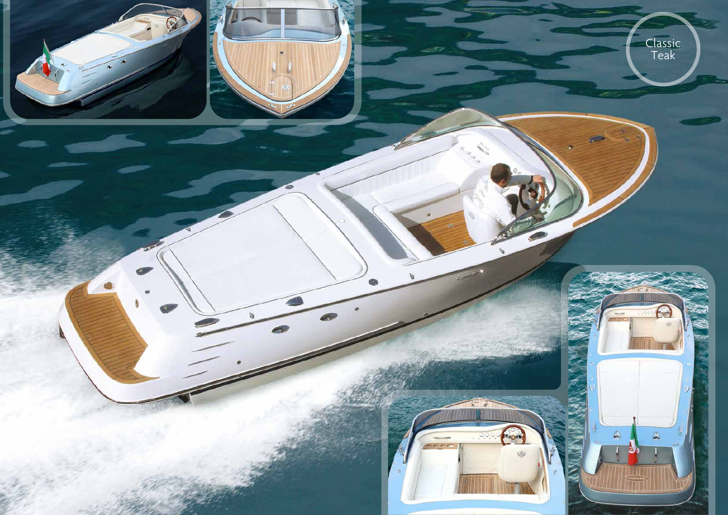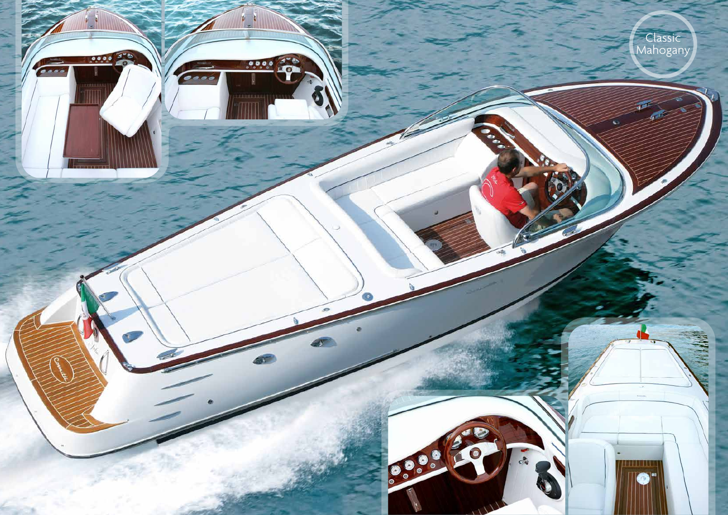